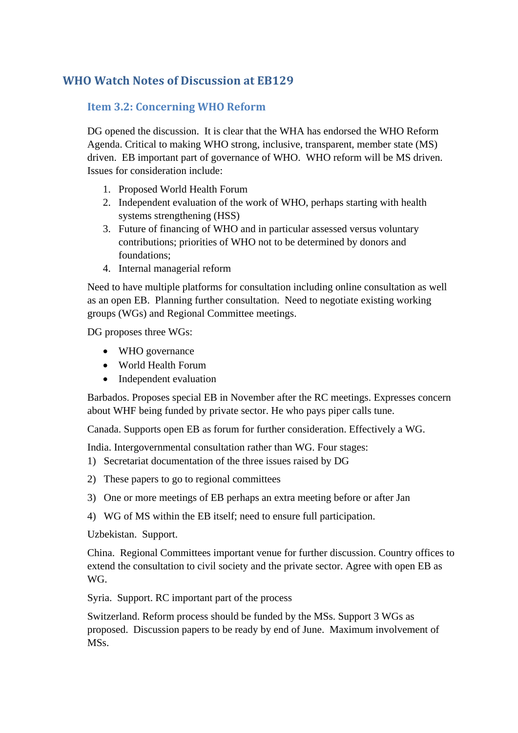## **WHO Watch Notes of Discussion at EB129**

## **Item 3.2: Concerning WHO Reform**

DG opened the discussion. It is clear that the WHA has endorsed the WHO Reform Agenda. Critical to making WHO strong, inclusive, transparent, member state (MS) driven. EB important part of governance of WHO. WHO reform will be MS driven. Issues for consideration include:

- 1. Proposed World Health Forum
- 2. Independent evaluation of the work of WHO, perhaps starting with health systems strengthening (HSS)
- 3. Future of financing of WHO and in particular assessed versus voluntary contributions; priorities of WHO not to be determined by donors and foundations;
- 4. Internal managerial reform

Need to have multiple platforms for consultation including online consultation as well as an open EB. Planning further consultation. Need to negotiate existing working groups (WGs) and Regional Committee meetings.

DG proposes three WGs:

- WHO governance
- World Health Forum
- Independent evaluation

Barbados. Proposes special EB in November after the RC meetings. Expresses concern about WHF being funded by private sector. He who pays piper calls tune.

Canada. Supports open EB as forum for further consideration. Effectively a WG.

India. Intergovernmental consultation rather than WG. Four stages:

- 1) Secretariat documentation of the three issues raised by DG
- 2) These papers to go to regional committees
- 3) One or more meetings of EB perhaps an extra meeting before or after Jan
- 4) WG of MS within the EB itself; need to ensure full participation.

Uzbekistan. Support.

China. Regional Committees important venue for further discussion. Country offices to extend the consultation to civil society and the private sector. Agree with open EB as WG.

Syria. Support. RC important part of the process

Switzerland. Reform process should be funded by the MSs. Support 3 WGs as proposed. Discussion papers to be ready by end of June. Maximum involvement of MSs.